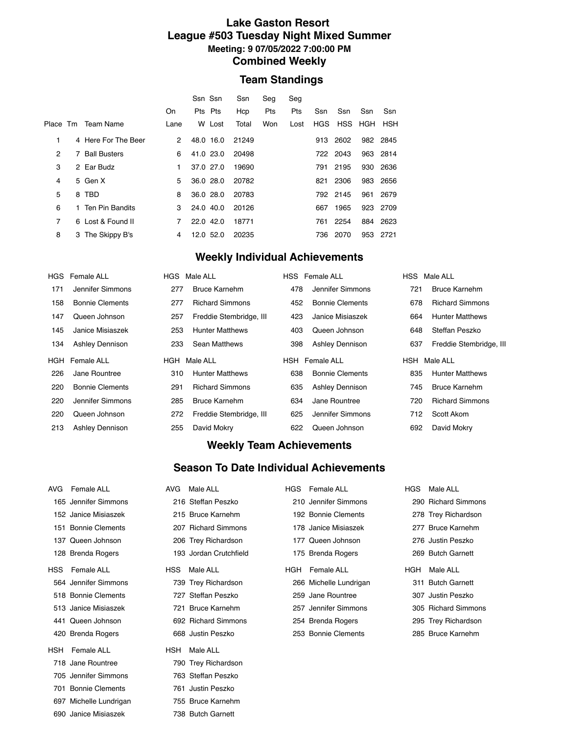#### **Lake Gaston Resort League #503 Tuesday Night Mixed Summer Meeting: 9 07/05/2022 7:00:00 PM Combined Weekly**

## **Team Standings**

|                |                     |                      | Ssn Ssn   | Ssn   | Seq | Seg  |     |                 |     |          |
|----------------|---------------------|----------------------|-----------|-------|-----|------|-----|-----------------|-----|----------|
|                |                     | On                   | Pts Pts   | Hcp   | Pts | Pts  | Ssn | Ssn             | Ssn | Ssn      |
| Place Tm       | Team Name           | Lane                 | W Lost    | Total | Won | Lost |     | HGS HSS HGH HSH |     |          |
| 1              | 4 Here For The Beer | $\mathbf{2}^{\circ}$ | 48.0 16.0 | 21249 |     |      | 913 | 2602            |     | 982 2845 |
| 2              | 7 Ball Busters      | 6                    | 41.0 23.0 | 20498 |     |      |     | 722 2043        |     | 963 2814 |
| 3              | 2 Ear Budz          | 1.                   | 37.0 27.0 | 19690 |     |      | 791 | 2195            |     | 930 2636 |
| 4              | 5 Gen X             | 5                    | 36.0 28.0 | 20782 |     |      | 821 | 2306            |     | 983 2656 |
| 5              | 8 TBD               | 8                    | 36.0 28.0 | 20783 |     |      |     | 792 2145        | 961 | 2679     |
| 6              | 1 Ten Pin Bandits   | 3                    | 24.0 40.0 | 20126 |     |      | 667 | 1965            |     | 923 2709 |
| $\overline{7}$ | 6 Lost & Found II   | $\overline{7}$       | 22.0 42.0 | 18771 |     |      | 761 | 2254            |     | 884 2623 |
| 8              | 3 The Skippy B's    | 4                    | 12.0 52.0 | 20235 |     |      | 736 | 2070            | 953 | 2721     |
|                |                     |                      |           |       |     |      |     |                 |     |          |

## **Weekly Individual Achievements**

|     | HGS Female ALL         |     | HGS Male ALL            |     | HSS Female ALL         |     | HSS Male ALL            |
|-----|------------------------|-----|-------------------------|-----|------------------------|-----|-------------------------|
| 171 | Jennifer Simmons       | 277 | Bruce Karnehm           | 478 | Jennifer Simmons       | 721 | <b>Bruce Karnehm</b>    |
| 158 | <b>Bonnie Clements</b> | 277 | <b>Richard Simmons</b>  | 452 | <b>Bonnie Clements</b> | 678 | <b>Richard Simmons</b>  |
| 147 | Queen Johnson          | 257 | Freddie Stembridge, III | 423 | Janice Misiaszek       | 664 | <b>Hunter Matthews</b>  |
| 145 | Janice Misiaszek       | 253 | <b>Hunter Matthews</b>  | 403 | Queen Johnson          | 648 | Steffan Peszko          |
| 134 | Ashley Dennison        | 233 | Sean Matthews           | 398 | Ashley Dennison        | 637 | Freddie Stembridge, III |
|     |                        |     |                         |     |                        |     |                         |
|     | HGH Female ALL         | HGH | Male ALL                |     | <b>HSH</b> Female ALL  |     | HSH Male ALL            |
| 226 | Jane Rountree          | 310 | <b>Hunter Matthews</b>  | 638 | <b>Bonnie Clements</b> | 835 | <b>Hunter Matthews</b>  |
| 220 | <b>Bonnie Clements</b> | 291 | <b>Richard Simmons</b>  | 635 | Ashley Dennison        | 745 | <b>Bruce Karnehm</b>    |
| 220 | Jennifer Simmons       | 285 | <b>Bruce Karnehm</b>    | 634 | Jane Rountree          | 720 | <b>Richard Simmons</b>  |
| 220 | Queen Johnson          | 272 | Freddie Stembridge, III | 625 | Jennifer Simmons       | 712 | Scott Akom              |

## **Weekly Team Achievements**

#### **Season To Date Individual Achievements**

| AVG        | Female ALL             | AVG.       | Male ALL               | <b>HGS</b> | Female ALL             | <b>HGS</b> | Male ALL             |
|------------|------------------------|------------|------------------------|------------|------------------------|------------|----------------------|
| 165        | Jennifer Simmons       |            | 216 Steffan Peszko     |            | 210 Jennifer Simmons   |            | 290 Richard Simmons  |
|            | 152 Janice Misiaszek   |            | 215 Bruce Karnehm      |            | 192 Bonnie Clements    |            | 278 Trey Richardson  |
|            | 151 Bonnie Clements    | 207        | <b>Richard Simmons</b> |            | 178 Janice Misiaszek   | 277        | <b>Bruce Karnehm</b> |
| 137        | Queen Johnson          |            | 206 Trey Richardson    | 177        | Queen Johnson          |            | 276 Justin Peszko    |
|            | 128 Brenda Rogers      |            | 193 Jordan Crutchfield |            | 175 Brenda Rogers      |            | 269 Butch Garnett    |
| <b>HSS</b> | Female ALL             | <b>HSS</b> | Male ALL               | HGH        | Female ALL             | HGH        | Male ALL             |
|            | 564 Jennifer Simmons   |            | 739 Trey Richardson    |            | 266 Michelle Lundrigan |            | 311 Butch Garnett    |
|            | 518 Bonnie Clements    |            | 727 Steffan Peszko     |            | 259 Jane Rountree      | 307        | Justin Peszko        |
|            | 513 Janice Misiaszek   |            | 721 Bruce Karnehm      |            | 257 Jennifer Simmons   |            | 305 Richard Simmons  |
|            | 441 Queen Johnson      |            | 692 Richard Simmons    |            | 254 Brenda Rogers      |            | 295 Trey Richardson  |
|            | 420 Brenda Rogers      |            | 668 Justin Peszko      |            | 253 Bonnie Clements    |            | 285 Bruce Karnehm    |
| <b>HSH</b> | Female ALL             | <b>HSH</b> | Male ALL               |            |                        |            |                      |
| 718        | Jane Rountree          |            | 790 Trey Richardson    |            |                        |            |                      |
| 705        | Jennifer Simmons       |            | 763 Steffan Peszko     |            |                        |            |                      |
| 701        | <b>Bonnie Clements</b> |            | 761 Justin Peszko      |            |                        |            |                      |
|            | 697 Michelle Lundrigan |            | 755 Bruce Karnehm      |            |                        |            |                      |
|            | 690 Janice Misiaszek   | 738        | <b>Butch Garnett</b>   |            |                        |            |                      |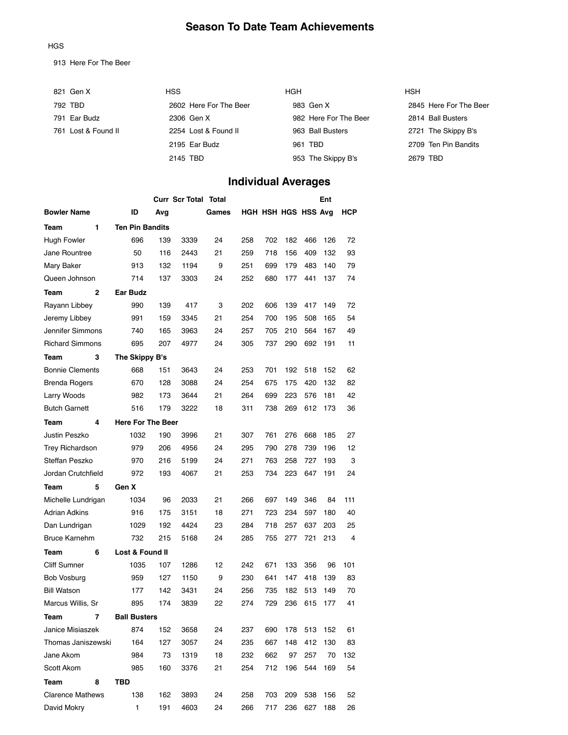## **Season To Date Team Achievements**

#### HGS

913 Here For The Beer

| 821 Gen X           | <b>HSS</b>             | <b>HGH</b>            | <b>HSH</b>             |
|---------------------|------------------------|-----------------------|------------------------|
| 792 TBD             | 2602 Here For The Beer | 983 Gen X             | 2845 Here For The Beer |
| 791 Ear Budz        | 2306 Gen X             | 982 Here For The Beer | 2814 Ball Busters      |
| 761 Lost & Found II | 2254 Lost & Found II   | 963 Ball Busters      | 2721 The Skippy B's    |
|                     | 2195 Ear Budz          | 961 TBD               | 2709 Ten Pin Bandits   |
|                     | 2145 TBD               | 953 The Skippy B's    | 2679 TBD               |

# **Individual Averages**

|                         | <b>Curr Scr Total Total</b> |     |      |       |     |                     |     | Ent |     |     |
|-------------------------|-----------------------------|-----|------|-------|-----|---------------------|-----|-----|-----|-----|
| <b>Bowler Name</b>      | ID                          | Avg |      | Games |     | HGH HSH HGS HSS Avg |     |     |     | НСР |
| 1<br>Team               | <b>Ten Pin Bandits</b>      |     |      |       |     |                     |     |     |     |     |
| <b>Hugh Fowler</b>      | 696                         | 139 | 3339 | 24    | 258 | 702                 | 182 | 466 | 126 | 72  |
| Jane Rountree           | 50                          | 116 | 2443 | 21    | 259 | 718                 | 156 | 409 | 132 | 93  |
| Mary Baker              | 913                         | 132 | 1194 | 9     | 251 | 699                 | 179 | 483 | 140 | 79  |
| Queen Johnson           | 714                         | 137 | 3303 | 24    | 252 | 680                 | 177 | 441 | 137 | 74  |
| $\mathbf{2}$<br>Team    | Ear Budz                    |     |      |       |     |                     |     |     |     |     |
| Rayann Libbey           | 990                         | 139 | 417  | 3     | 202 | 606                 | 139 | 417 | 149 | 72  |
| Jeremy Libbey           | 991                         | 159 | 3345 | 21    | 254 | 700                 | 195 | 508 | 165 | 54  |
| Jennifer Simmons        | 740                         | 165 | 3963 | 24    | 257 | 705                 | 210 | 564 | 167 | 49  |
| <b>Richard Simmons</b>  | 695                         | 207 | 4977 | 24    | 305 | 737                 | 290 | 692 | 191 | 11  |
| Team<br>3               | The Skippy B's              |     |      |       |     |                     |     |     |     |     |
| <b>Bonnie Clements</b>  | 668                         | 151 | 3643 | 24    | 253 | 701                 | 192 | 518 | 152 | 62  |
| Brenda Rogers           | 670                         | 128 | 3088 | 24    | 254 | 675                 | 175 | 420 | 132 | 82  |
| Larry Woods             | 982                         | 173 | 3644 | 21    | 264 | 699                 | 223 | 576 | 181 | 42  |
| <b>Butch Garnett</b>    | 516                         | 179 | 3222 | 18    | 311 | 738                 | 269 | 612 | 173 | 36  |
| 4<br>Team               | <b>Here For The Beer</b>    |     |      |       |     |                     |     |     |     |     |
| Justin Peszko           | 1032                        | 190 | 3996 | 21    | 307 | 761                 | 276 | 668 | 185 | 27  |
| <b>Trey Richardson</b>  | 979                         | 206 | 4956 | 24    | 295 | 790                 | 278 | 739 | 196 | 12  |
| Steffan Peszko          | 970                         | 216 | 5199 | 24    | 271 | 763                 | 258 | 727 | 193 | 3   |
| Jordan Crutchfield      | 972                         | 193 | 4067 | 21    | 253 | 734                 | 223 | 647 | 191 | 24  |
| 5<br>Team               | Gen X                       |     |      |       |     |                     |     |     |     |     |
| Michelle Lundrigan      | 1034                        | 96  | 2033 | 21    | 266 | 697                 | 149 | 346 | 84  | 111 |
| <b>Adrian Adkins</b>    | 916                         | 175 | 3151 | 18    | 271 | 723                 | 234 | 597 | 180 | 40  |
| Dan Lundrigan           | 1029                        | 192 | 4424 | 23    | 284 | 718                 | 257 | 637 | 203 | 25  |
| <b>Bruce Karnehm</b>    | 732                         | 215 | 5168 | 24    | 285 | 755                 | 277 | 721 | 213 | 4   |
| Team<br>6               | Lost & Found II             |     |      |       |     |                     |     |     |     |     |
| <b>Cliff Sumner</b>     | 1035                        | 107 | 1286 | 12    | 242 | 671                 | 133 | 356 | 96  | 101 |
| Bob Vosburg             | 959                         | 127 | 1150 | 9     | 230 | 641                 | 147 | 418 | 139 | 83  |
| <b>Bill Watson</b>      | 177                         | 142 | 3431 | 24    | 256 | 735                 | 182 | 513 | 149 | 70  |
| Marcus Willis, Sr       | 895                         | 174 | 3839 | 22    | 274 | 729                 | 236 | 615 | 177 | 41  |
| Team<br>7               | <b>Ball Busters</b>         |     |      |       |     |                     |     |     |     |     |
| Janice Misiaszek        | 874                         | 152 | 3658 | 24    | 237 | 690                 | 178 | 513 | 152 | 61  |
| Thomas Janiszewski      | 164                         | 127 | 3057 | 24    | 235 | 667                 | 148 | 412 | 130 | 83  |
| Jane Akom               | 984                         | 73  | 1319 | 18    | 232 | 662                 | 97  | 257 | 70  | 132 |
| Scott Akom              | 985                         | 160 | 3376 | 21    | 254 | 712                 | 196 | 544 | 169 | 54  |
| 8<br>Team               | TBD                         |     |      |       |     |                     |     |     |     |     |
| <b>Clarence Mathews</b> | 138                         | 162 | 3893 | 24    | 258 | 703                 | 209 | 538 | 156 | 52  |
| David Mokry             | 1                           | 191 | 4603 | 24    | 266 | 717                 | 236 | 627 | 188 | 26  |